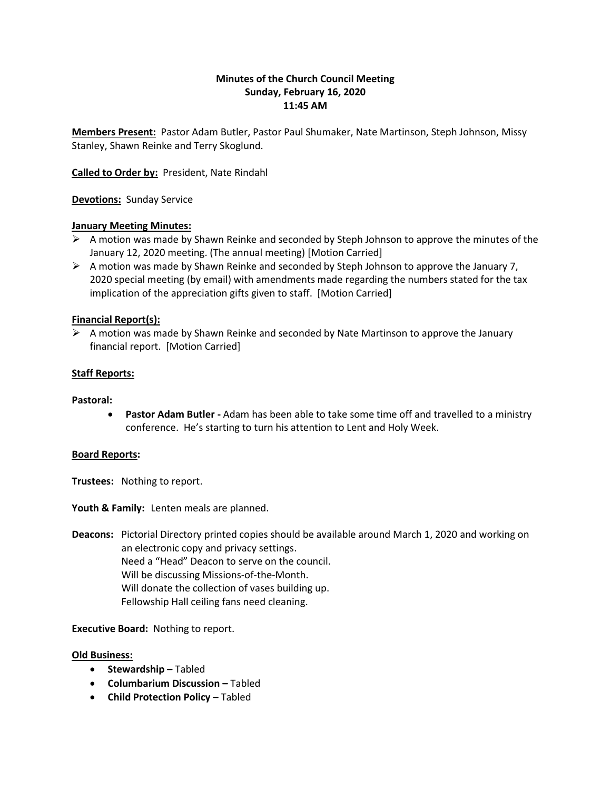# **Minutes of the Church Council Meeting Sunday, February 16, 2020 11:45 AM**

**Members Present:** Pastor Adam Butler, Pastor Paul Shumaker, Nate Martinson, Steph Johnson, Missy Stanley, Shawn Reinke and Terry Skoglund.

**Called to Order by:** President, Nate Rindahl

**Devotions:** Sunday Service

## **January Meeting Minutes:**

- $\triangleright$  A motion was made by Shawn Reinke and seconded by Steph Johnson to approve the minutes of the January 12, 2020 meeting. (The annual meeting) [Motion Carried]
- $\triangleright$  A motion was made by Shawn Reinke and seconded by Steph Johnson to approve the January 7, 2020 special meeting (by email) with amendments made regarding the numbers stated for the tax implication of the appreciation gifts given to staff. [Motion Carried]

## **Financial Report(s):**

 $\triangleright$  A motion was made by Shawn Reinke and seconded by Nate Martinson to approve the January financial report. [Motion Carried]

## **Staff Reports:**

#### **Pastoral:**

• **Pastor Adam Butler -** Adam has been able to take some time off and travelled to a ministry conference. He's starting to turn his attention to Lent and Holy Week.

#### **Board Reports:**

**Trustees:** Nothing to report.

**Youth & Family:** Lenten meals are planned.

**Deacons:** Pictorial Directory printed copies should be available around March 1, 2020 and working on an electronic copy and privacy settings. Need a "Head" Deacon to serve on the council. Will be discussing Missions-of-the-Month. Will donate the collection of vases building up. Fellowship Hall ceiling fans need cleaning.

**Executive Board:** Nothing to report.

#### **Old Business:**

- **Stewardship –** Tabled
- **Columbarium Discussion –** Tabled
- **Child Protection Policy Tabled**